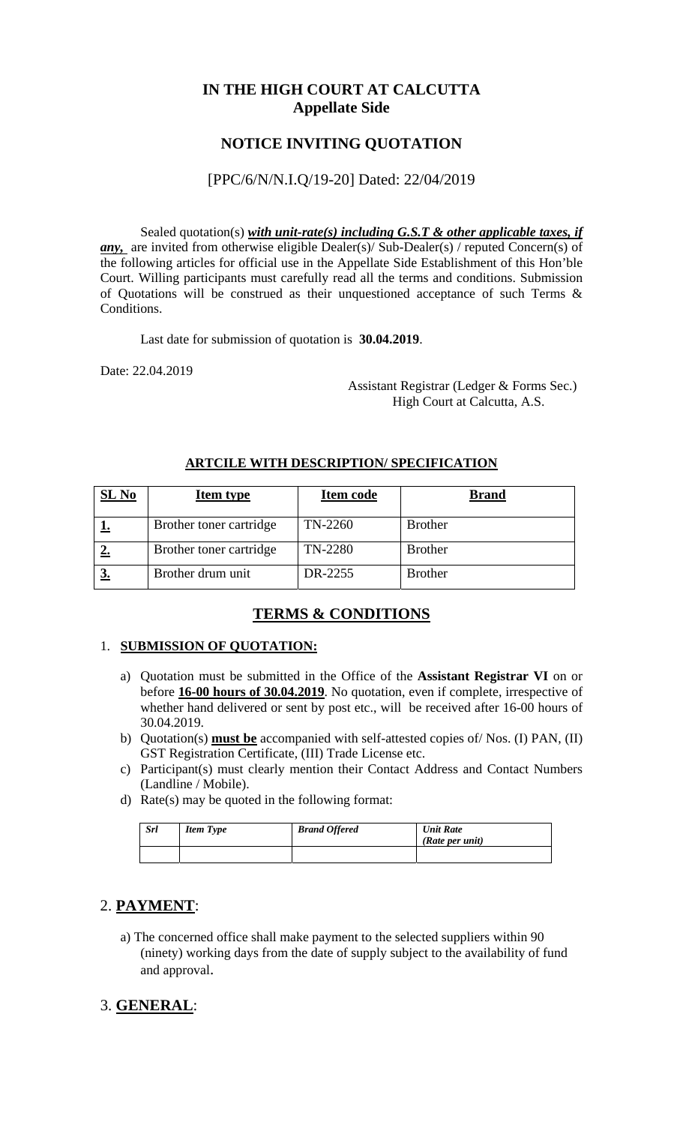## **IN THE HIGH COURT AT CALCUTTA Appellate Side**

## **NOTICE INVITING QUOTATION**

#### [PPC/6/N/N.I.Q/19-20] Dated: 22/04/2019

Sealed quotation(s) *with unit-rate(s) including G.S.T & other applicable taxes, if any*, are invited from otherwise eligible Dealer(s)/ Sub-Dealer(s) / reputed Concern(s) of the following articles for official use in the Appellate Side Establishment of this Hon'ble Court. Willing participants must carefully read all the terms and conditions. Submission of Quotations will be construed as their unquestioned acceptance of such Terms & Conditions.

Last date for submission of quotation is **30.04.2019**.

Date: 22.04.2019

 Assistant Registrar (Ledger & Forms Sec.) High Court at Calcutta, A.S.

| $SL$ No | <b>Item type</b>        | Item code | <b>Brand</b>   |
|---------|-------------------------|-----------|----------------|
|         | Brother toner cartridge | TN-2260   | <b>Brother</b> |
|         | Brother toner cartridge | TN-2280   | <b>Brother</b> |
|         | Brother drum unit       | DR-2255   | <b>Brother</b> |

#### **ARTCILE WITH DESCRIPTION/ SPECIFICATION**

### **TERMS & CONDITIONS**

#### 1. **SUBMISSION OF QUOTATION:**

- a) Quotation must be submitted in the Office of the **Assistant Registrar VI** on or before **16-00 hours of 30.04.2019**. No quotation, even if complete, irrespective of whether hand delivered or sent by post etc., will be received after 16-00 hours of 30.04.2019.
- b) Quotation(s) **must be** accompanied with self-attested copies of/ Nos. (I) PAN, (II) GST Registration Certificate, (III) Trade License etc.
- c) Participant(s) must clearly mention their Contact Address and Contact Numbers (Landline / Mobile).
- d) Rate(s) may be quoted in the following format:

| <b>Srl</b> | <b>Item Type</b> | <b>Brand Offered</b> | <b>Unit Rate</b><br>(Rate per unit) |
|------------|------------------|----------------------|-------------------------------------|
|            |                  |                      |                                     |

### 2. **PAYMENT**:

a) The concerned office shall make payment to the selected suppliers within 90 (ninety) working days from the date of supply subject to the availability of fund and approval.

# 3. **GENERAL**: